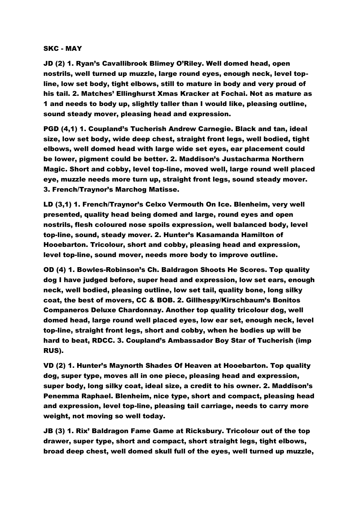## SKC - MAY

JD (2) 1. Ryan's Cavallibrook Blimey O'Riley. Well domed head, open nostrils, well turned up muzzle, large round eyes, enough neck, level topline, low set body, tight elbows, still to mature in body and very proud of his tail. 2. Matches' Ellinghurst Xmas Kracker at Fochai. Not as mature as 1 and needs to body up, slightly taller than I would like, pleasing outline, sound steady mover, pleasing head and expression.

PGD (4,1) 1. Coupland's Tucherish Andrew Carnegie. Black and tan, ideal size, low set body, wide deep chest, straight front legs, well bodied, tight elbows, well domed head with large wide set eyes, ear placement could be lower, pigment could be better. 2. Maddison's Justacharma Northern Magic. Short and cobby, level top-line, moved well, large round well placed eye, muzzle needs more turn up, straight front legs, sound steady mover. 3. French/Traynor's Marchog Matisse.

LD (3,1) 1. French/Traynor's Celxo Vermouth On Ice. Blenheim, very well presented, quality head being domed and large, round eyes and open nostrils, flesh coloured nose spoils expression, well balanced body, level top-line, sound, steady mover. 2. Hunter's Kasamanda Hamilton of Hooebarton. Tricolour, short and cobby, pleasing head and expression, level top-line, sound mover, needs more body to improve outline.

OD (4) 1. Bowles-Robinson's Ch. Baldragon Shoots He Scores. Top quality dog I have judged before, super head and expression, low set ears, enough neck, well bodied, pleasing outline, low set tail, quality bone, long silky coat, the best of movers, CC & BOB. 2. Gillhespy/Kirschbaum's Bonitos Companeros Deluxe Chardonnay. Another top quality tricolour dog, well domed head, large round well placed eyes, low ear set, enough neck, level top-line, straight front legs, short and cobby, when he bodies up will be hard to beat, RDCC. 3. Coupland's Ambassador Boy Star of Tucherish (imp RUS).

VD (2) 1. Hunter's Maynorth Shades Of Heaven at Hooebarton. Top quality dog, super type, moves all in one piece, pleasing head and expression, super body, long silky coat, ideal size, a credit to his owner. 2. Maddison's Penemma Raphael. Blenheim, nice type, short and compact, pleasing head and expression, level top-line, pleasing tail carriage, needs to carry more weight, not moving so well today.

JB (3) 1. Rix' Baldragon Fame Game at Ricksbury. Tricolour out of the top drawer, super type, short and compact, short straight legs, tight elbows, broad deep chest, well domed skull full of the eyes, well turned up muzzle,